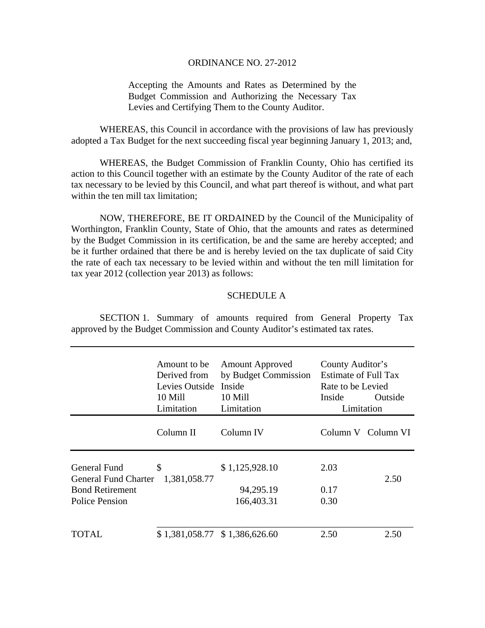## ORDINANCE NO. 27-2012

Accepting the Amounts and Rates as Determined by the Budget Commission and Authorizing the Necessary Tax Levies and Certifying Them to the County Auditor.

 WHEREAS, this Council in accordance with the provisions of law has previously adopted a Tax Budget for the next succeeding fiscal year beginning January 1, 2013; and,

 WHEREAS, the Budget Commission of Franklin County, Ohio has certified its action to this Council together with an estimate by the County Auditor of the rate of each tax necessary to be levied by this Council, and what part thereof is without, and what part within the ten mill tax limitation;

 NOW, THEREFORE, BE IT ORDAINED by the Council of the Municipality of Worthington, Franklin County, State of Ohio, that the amounts and rates as determined by the Budget Commission in its certification, be and the same are hereby accepted; and be it further ordained that there be and is hereby levied on the tax duplicate of said City the rate of each tax necessary to be levied within and without the ten mill limitation for tax year 2012 (collection year 2013) as follows:

## SCHEDULE A

 SECTION 1. Summary of amounts required from General Property Tax approved by the Budget Commission and County Auditor's estimated tax rates.

|                                                                                                | Amount to be<br>Derived from<br>Levies Outside<br>10 Mill<br>Limitation | <b>Amount Approved</b><br>by Budget Commission<br>Inside<br>10 Mill<br>Limitation | County Auditor's<br><b>Estimate of Full Tax</b><br>Rate to be Levied<br>Inside<br>Outside<br>Limitation |                    |
|------------------------------------------------------------------------------------------------|-------------------------------------------------------------------------|-----------------------------------------------------------------------------------|---------------------------------------------------------------------------------------------------------|--------------------|
|                                                                                                | Column II                                                               | Column IV                                                                         |                                                                                                         | Column V Column VI |
| General Fund<br><b>General Fund Charter</b><br><b>Bond Retirement</b><br><b>Police Pension</b> | \$<br>1,381,058.77                                                      | \$1,125,928.10<br>94,295.19<br>166,403.31                                         | 2.03<br>0.17<br>0.30                                                                                    | 2.50               |
| TOTAL                                                                                          | $$1,381,058.77$ $$1,386,626.60$                                         |                                                                                   | 2.50                                                                                                    | 2.50               |